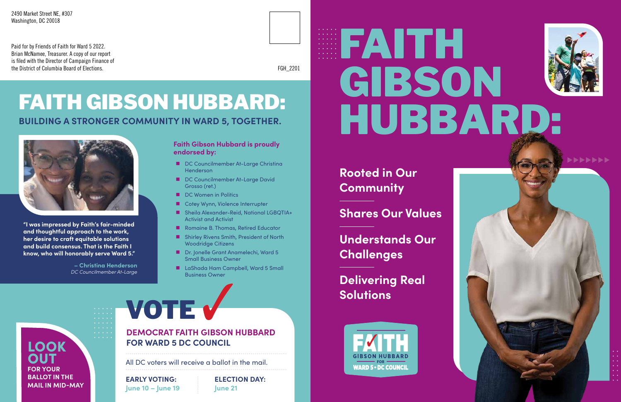# FAITH GIBSON HUBBARD:

#### **Faith Gibson Hubbard is proudly endorsed by:**

- DC Councilmember At-Large Christina **Henderson**
- DC Councilmember At-Large David Grosso (ret.)
- DC Women in Politics
- Cotey Wynn, Violence Interrupter
- Sheila Alexander-Reid, National LGBQTIA+ Activist and Activist
- Romaine B. Thomas, Retired Educator
- Shirley Rivens Smith, President of North Woodridge Citizens
- Dr. Jonelle Grant Anamelechi, Ward 5 Small Business Owner
- LaShada Ham Campbell, Ward 5 Small Business Owner

## **BUILDING A STRONGER COMMUNITY IN WARD 5, TOGETHER.** FAITH GIBSON HUBBARD:



#### **DEMOCRAT FAITH GIBSON HUBBARD FOR WARD 5 DC COUNCIL**

VOTE V

**Rooted in Our Community**

### **Shares Our Values**

**Understands Our Challenges**

### **Delivering Real Solutions**





All DC voters will receive a ballot in the mail.

**EARLY VOTING: June 10 – June 19**

**ELECTION DAY: June 21**

LOOK **OUT FOR YOUR BALLOT IN THE MAIL IN MID-MAY**

**"I was impressed by Faith's fair-minded and thoughtful approach to the work, her desire to craft equitable solutions and build consensus. That is the Faith I know, who will honorably serve Ward 5."**

> **– Christina Henderson** *DC Councilmember At-Large*

Paid for by Friends of Faith for Ward 5 2022. Brian McNamee, Treasurer. A copy of our report is filed with the Director of Campaign Finance of the District of Columbia Board of Elections.

2490 Market Street NE, #307 Washington, DC 20018

FGH\_2201